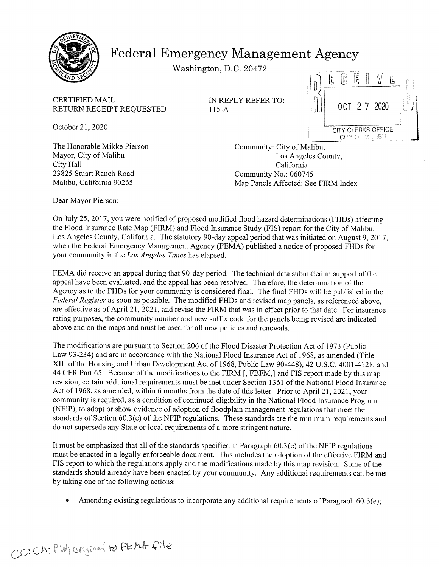

# Federal Emergency Management Agency

Washington, D.C. 20472

CERTIFIED MAIL **IN REPLY REFER TO:** RETURN RECEIPT REQUESTED 115-A  $\begin{bmatrix} 1 & 0 & 0 & 0 \\ 0 & 0 & 0 & 0 \\ 0 & 0 & 0 & 0 \\ 0 & 0 & 0 & 0 \\ 0 & 0 & 0 & 0 \\ 0 & 0 & 0 & 0 \\ 0 & 0 & 0 & 0 \\ 0 & 0 & 0 & 0 \\ 0 & 0 & 0 & 0 \\ 0 & 0 & 0 & 0 \\ 0 & 0 & 0 & 0 \\ 0 & 0 & 0 & 0 \\ 0 & 0 & 0 & 0 \\ 0 & 0 & 0 & 0 \\ 0 & 0 & 0 & 0 \\ 0 &$ 



The Honorable Mikke Pierson Community: City of Malibu, City Hall California 23825 Stuart Ranch Road Community No.: 060745

Mayor, City of Malibu **Los Angeles County**, Malibu, California 90265 Map Panels Affected: See FIRM Index

Dear Mayor Pierson:

On July 25, 2017, you were notified of proposed modified flood hazard determinations (FHDs) affecting the Flood Insurance Rate Map (FIRM) and Flood Insurance Study (FIS) report for the City of Malibu, Los Angeles County, California. The statutory 90-day appeal period that was initiated on August 9, 2017, when the Federal Emergency Management Agency (FEMA) published <sup>a</sup> notice of proposed FHDs for your community in the Los Angeles Times has elapsed.

FEMA did receive an appeal during that 90-day period. The technical data submitted in support of the appeal have been evaluated, and the appeal has been resolved. Therefore, the determination of the Agency as to the FHDs for your community is considered final. The final FHDs will be published in the Federal Register as soon as possible. The modified FHDs and revised map panels, as referenced above, are effective as of April 21, 2021, and revise the FIRM that was in effect prior to that date. For insurance rating purposes, the community number and new suffix code for the panels being revised are indicated above and on the maps and must be used for all new policies and renewals.

The modifications are pursuant to Section 206 of the Flood Disaster Protection Act of 1973 (Public Law 93-234) and are in accordance with the National Flood Insurance Act of 1968, as amended (Title XIII of the Housing and Urban Development Act of 1968, Public Law 90-448), 42 U.S.C. 4001-4128, and 44 CFR Part 65. Because of the modifications to the FIRM [,FBFM,] and FIS report made by this map revision, certain additional requirements must be met under Section 1361 of the National Flood Insurance Act of 1968, as amended, within <sup>6</sup> months from the date of this letter. Prior to April 21, 2021, your community is required, as <sup>a</sup> condition of continued eligibility in the National Flood Insurance Program ~NFIP), to adopt or show evidence of adoption of floodplain management regulations that meet the standards of Section 60.3(e) of the NFIP regulations. These standards are the minimum requirements and do not supersede any State or local requirements of <sup>a</sup> more stringent nature.

It must be emphasized that all of the standards specified in Paragraph 60.3(e) of the NFIP regulations must be enacted in <sup>a</sup> legally enforceable document. This includes the adoption of the effective FIRM and FIS report to which the regulations apply and the modifications made by this map revision. Some of the standards should already have been enacted by your community. Any additional requirements can be met by taking one of the following actions:

Amending existing regulations to incorporate any additional requirements of Paragraph 60.3(e);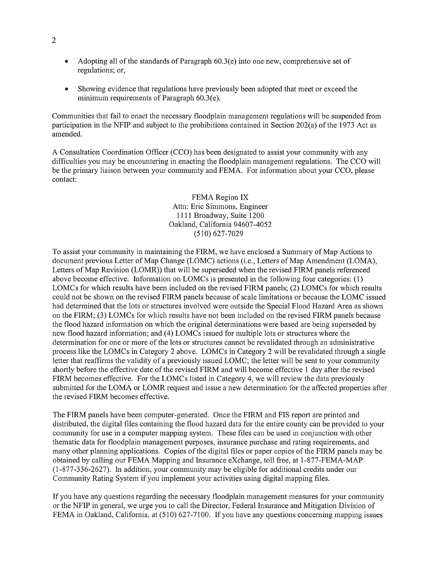- $\bullet$ Adopting all of the standards of Paragraph 60.3(e) into one new, comprehensive set of regulations; or,
- Showing evidence that regulations have previously been adopted that meet or exceed the  $\bullet$ minimum requirements of Paragraph 60.3(e).

Communities that fail to enact the necessary floodplain management regulations will be suspended from participation in the NFIP and subject to the prohibitions contained in Section 202(a) of the 1973 Act as amended.

A Consultation Coordination Officer (CCO) has been designated to assist your community with any difficulties you may be encountering in enacting the floodplain management regulations. The CCO will be the primary liaison between your community and FEMA. For information about your CCO, please contact:

> FEMA Region IX Attn: Eric Simmons, Engineer 1111 Broadway, Suite 1200 Oakland, California 94607-4052 (510) 627-7029

To assist your community in maintaining the FIRM, we have enclosed <sup>a</sup> Summary of Map Actions to document previous Letter of Map Change (LOMC) actions (i.e., Letters of Map Amendment (LOMA), Letters of Map Revision (LOMR)) that will be superseded when the revised FIRM panels referenced above become effective. Information on LOMCs is presented in the following four categories: (1) LOMCs for which results have been included on the revised FIRM panels; (2) LOMCs for which results could not be shown on the revised FIRM panels because of scale limitations or because the LOMC issued had determined that the lots or structures involved were outside the Special Flood Hazard Area as shown on the FIRM; (3) LOMCs for which results have not been included on the revised FIRM panels because the flood hazard information on which the original determinations were based are being superseded by new flood hazard information; and (4) LOMCs issued for multiple lots or structures where the determination for one or more of the lots or structures cannot be revalidated through an administrative process like the LOMCs in Category <sup>2</sup> above. LOMCs in Category <sup>2</sup> will be revalidated through <sup>a</sup> single letter that reaffirms the validity of <sup>a</sup> previously issued LOMC; the letter will be sent to your community shortly before the effective date of the revised FIRM and will become effective <sup>1</sup> day after the revised FIRM becomes effective. For the LOMCs listed in Category 4, we will review the data previously submitted for the LOMA or LOMR request and issue <sup>a</sup> new determination for the affected properties after the revised FIRM becomes effective.

The FIRM panels have been computer-generated. Once the FIRM and FIS report are printed and distributed, the digital files containing the flood hazard data for the entire county can be provided to your community for use in <sup>a</sup> computer mapping system. These files can be used in conjunction with other thematic data for floodplain management purposes, insurance purchase and rating requirements, and many other planning applications. Copies of the digital files or paper copies of the FIRM panels may be obtained by calling our FEMA Mapping and Insurance eXchange, toll free, at I -877-FEMA-MAP (1-877-336-2627). In addition, your community may be eligible for additional credits under our Community Rating System if you implement your activities using digital mapping files.

If you have any questions regarding the necessary floodplain management measures for your community or the NFIP in general, we urge you to call the Director, Federal Insurance and Mitigation Division of FEMA in Oakland, California, at (510) 627-7100. If you have any questions concerning mapping issues

2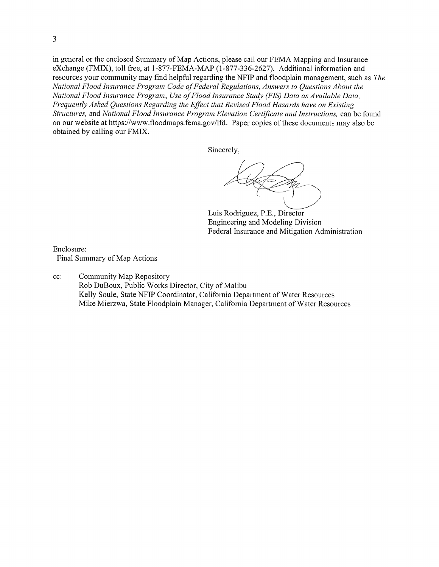in general or the enclosed Summary of Map Actions, please call our FEMA Mapping and Insurance eXchange (FMIX), toll free, at 1-877-FEMA-MAP (1-877-336-2627). Additional information and resources your community may find helpful regarding the NFIP and floodplain management, such as The National Flood Insurance Program Code of Federal Regulations, Answers to Questions About the National Flood Insurance Program, Use of Flood Insurance Study (FIS) Data as Available Data, Frequently Asked Questions Regarding the Effect that Revised Flood Hazards have on Existing Structures, and National Flood Insurance Program Elevation Certificate and Instructions, can be found on our website at https://www.floodmaps.fema.gov/lfd. Paper copies of these documents may also be obtained by calling our FMIX.

Sincerely,

Luis Rodriguez, P.E., Director Engineering and Modeling Division Federal Insurance and Mitigation Administration

Enclosure: Final Summary of Map Actions

cc: Community Map Repository Rob DuBoux, Public Works Director, City of Malibu Kelly Soule, State NFIP Coordinator, California Department of Water Resources Mike Mierzwa, State Floodplain Manager, California Department of Water Resources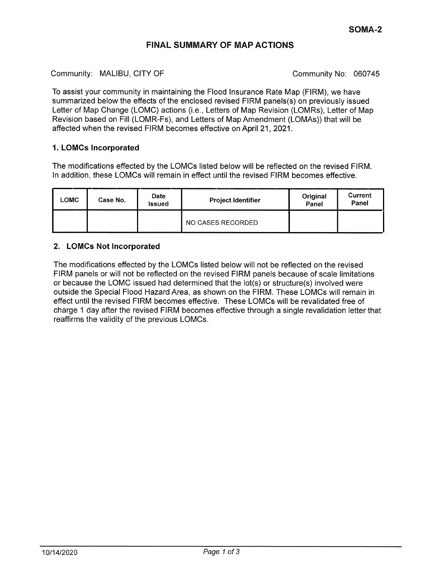## FINAL SUMMARY OF MAP ACTIONS

Community: MALIBU, CITY OF Community No: 060745

To assist your community in maintaining the Flood Insurance Rate Map (FIRM), we have summarized below the effects of the enclosed revised FIRM panels(s) on previously issued Letter of Map Change (LOMC) actions (i.e., Letters of Map Revision (LOMR5), Letter of Map Revision based on Fill (LOMR-Fs), and Letters of Map Amendment (LOMAs)) that will be affected when the revised FIRM becomes effective on April 21, 2021.

### 1. LOMCs Incorporated

The modifications effected by the LOMCs listed below will be reflected on the revised FIRM. In addition, these LOMCs will remain in effect until the revised FIRM becomes effective.

| <b>LOMC</b> | Case No. | Date<br>Issued | <b>Project Identifier</b> | Original<br>Panel | Current<br>Panel |
|-------------|----------|----------------|---------------------------|-------------------|------------------|
|             |          |                | NO CASES RECORDED         |                   |                  |

## 2. LOMCs Not Incorporated

The modifications effected by the LOMCs listed below will not be reflected on the revised FIRM panels or will not be reflected on the revised FIRM panels because of scale limitations or because the LOMC issued had determined that the lot(s) or structure(s) involved were outside the Special Flood Hazard Area, as shown on the FIRM. These LOMCs will remain in effect until the revised FIRM becomes effective. These LOMCs will be revalidated free of charge <sup>1</sup> day after the revised FIRM becomes effective through a single revalidation letter that reaffirms the validity of the previous LOMCs.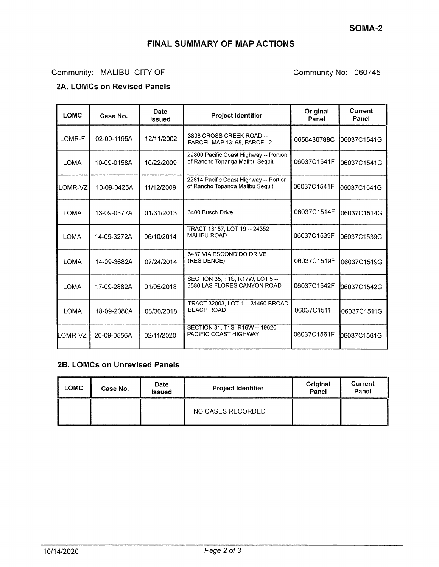# FINAL SUMMARY OF MAP ACTIONS

## Community: MALIBU, CITY OF Community No: 060745

## 2A. LOMCs on Revised Panels

| <b>LOMC</b> | Case No.    | Date<br><b>Issued</b> | <b>Project Identifier</b>                                                 | Original<br>Panel | Current<br>Panel |
|-------------|-------------|-----------------------|---------------------------------------------------------------------------|-------------------|------------------|
| LOMR-F      | 02-09-1195A | 12/11/2002            | 3808 CROSS CREEK ROAD --<br>PARCEL MAP 13165, PARCEL 2                    | 0650430788C       | 06037C1541G      |
| <b>LOMA</b> | 10-09-0158A | 10/22/2009            | 22800 Pacific Coast Highway -- Portion<br>of Rancho Topanga Malibu Sequit | 06037C1541F       | 06037C1541G      |
| LOMR-VZ     | 10-09-0425A | 11/12/2009            | 22814 Pacific Coast Highway -- Portion<br>of Rancho Topanga Malibu Sequit | 06037C1541F       | 06037C1541G      |
| <b>LOMA</b> | 13-09-0377A | 01/31/2013            | 6400 Busch Drive                                                          | 06037C1514F       | 06037C1514G      |
| <b>LOMA</b> | 14-09-3272A | 06/10/2014            | TRACT 13157, LOT 19 -- 24352<br><b>MALIBU ROAD</b>                        | 06037C1539F       | 06037C1539G      |
| <b>LOMA</b> | 14-09-3682A | 07/24/2014            | 6437 VIA ESCONDIDO DRIVE<br>(RESIDENCE)                                   | 06037C1519F       | 06037C1519G      |
| <b>LOMA</b> | 17-09-2882A | 01/05/2018            | SECTION 35, T1S, R17W, LOT 5 --<br>3580 LAS FLORES CANYON ROAD            | 06037C1542F       | 06037C1542G      |
| <b>LOMA</b> | 18-09-2080A | 08/30/2018            | TRACT 32003, LOT 1 -- 31460 BROAD<br><b>BEACH ROAD</b>                    | 06037C1511F       | 06037C1511G      |
| OMR-VZ      | 20-09-0556A | 02/11/2020            | SECTION 31, T1S, R16W -- 19620<br>PACIFIC COAST HIGHWAY                   | 06037C1561F       | 06037C1561G      |

#### 2B. LOMCs on Unrevised Panels

| <b>LOMC</b> | Case No. | Date<br><b>Issued</b> | <b>Project Identifier</b> | Original<br>Panel | Current<br>Panel |
|-------------|----------|-----------------------|---------------------------|-------------------|------------------|
|             |          |                       | NO CASES RECORDED         |                   |                  |